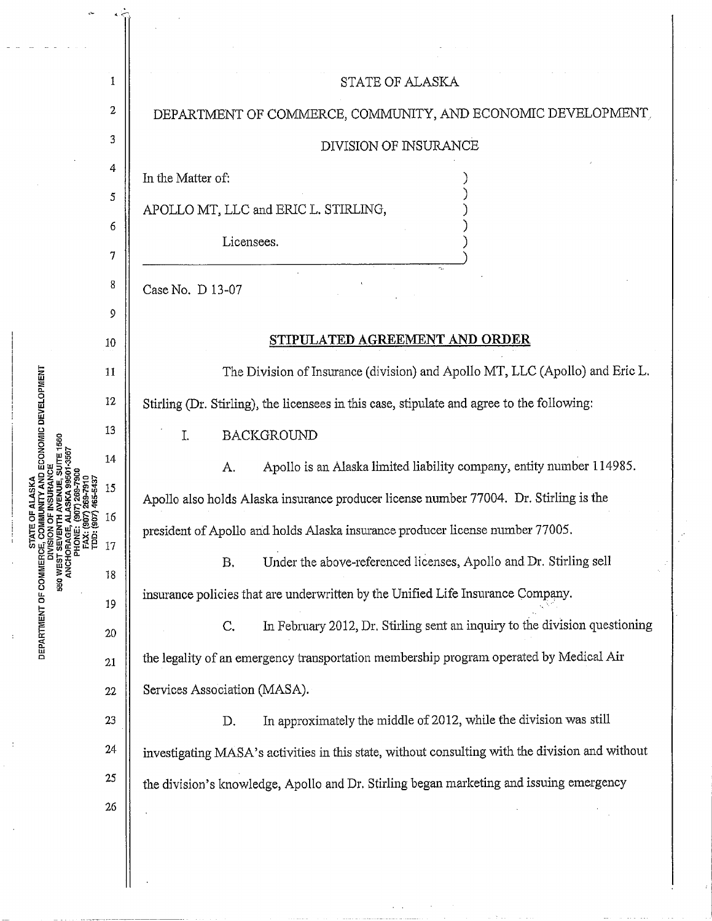| ANCHORAGE,<br>PHONE:<br>FAX: (9<br>TDD: (9<br>TDD: (9 | 1        | STATE OF ALASKA                                                                                 |
|-------------------------------------------------------|----------|-------------------------------------------------------------------------------------------------|
|                                                       | 2        | DEPARTMENT OF COMMERCE, COMMUNITY, AND ECONOMIC DEVELOPMENT,                                    |
|                                                       | 3        | DIVISION OF INSURANCE                                                                           |
|                                                       | 4        | In the Matter of:                                                                               |
|                                                       | 5        | APOLLO MT, LLC and ERIC L. STIRLING,                                                            |
|                                                       | 6<br>7   | Licensees.                                                                                      |
|                                                       | 8        | Case No. D 13-07                                                                                |
|                                                       | 9        |                                                                                                 |
|                                                       | 10       | STIPULATED AGREEMENT AND ORDER                                                                  |
|                                                       | 11       | The Division of Insurance (division) and Apollo MT, LLC (Apollo) and Eric L.                    |
|                                                       | 12       | Stirling (Dr. Stirling), the licensees in this case, stipulate and agree to the following:      |
|                                                       | 13       | <b>BACKGROUND</b><br>I.                                                                         |
|                                                       | 14       | Apollo is an Alaska limited liability company, entity number 114985.<br>A.                      |
|                                                       | 15       | Apollo also holds Alaska insurance producer license number 77004. Dr. Stirling is the           |
|                                                       | 16       | president of Apollo and holds Alaska insurance producer license number 77005.                   |
|                                                       | 17       | Under the above-referenced licenses, Apollo and Dr. Stirling sell<br>Β,                         |
|                                                       | 18<br>19 | insurance policies that are underwritten by the Unified Life Insurance Company.                 |
|                                                       | 20       | In February 2012, Dr. Stirling sent an inquiry to the division questioning<br>C,                |
|                                                       | 21       | the legality of an emergency transportation membership program operated by Medical Air          |
|                                                       | 22       | Services Association (MASA).                                                                    |
|                                                       | 23       | In approximately the middle of 2012, while the division was still<br>D.                         |
|                                                       | 24       | investigating MASA's activities in this state, without consulting with the division and without |
|                                                       | 25       | the division's knowledge, Apollo and Dr. Stirling began marketing and issuing emergency         |
|                                                       | 26       |                                                                                                 |
|                                                       |          |                                                                                                 |
|                                                       |          |                                                                                                 |

 $\sim$   $\sim$ 

 $\mathcal{L}(\mathcal{A})$ and a community  $\ddot{\phantom{a}}$ 

**f**<br>**ENT OF** 

ŧ

 $\ddot{\phantom{0}}$ 

 $\bar{z}$ 

 $\overline{a}$  $\ddot{\phantom{a}}$  $\sim$   $\sim$ 

DEPAR<br>-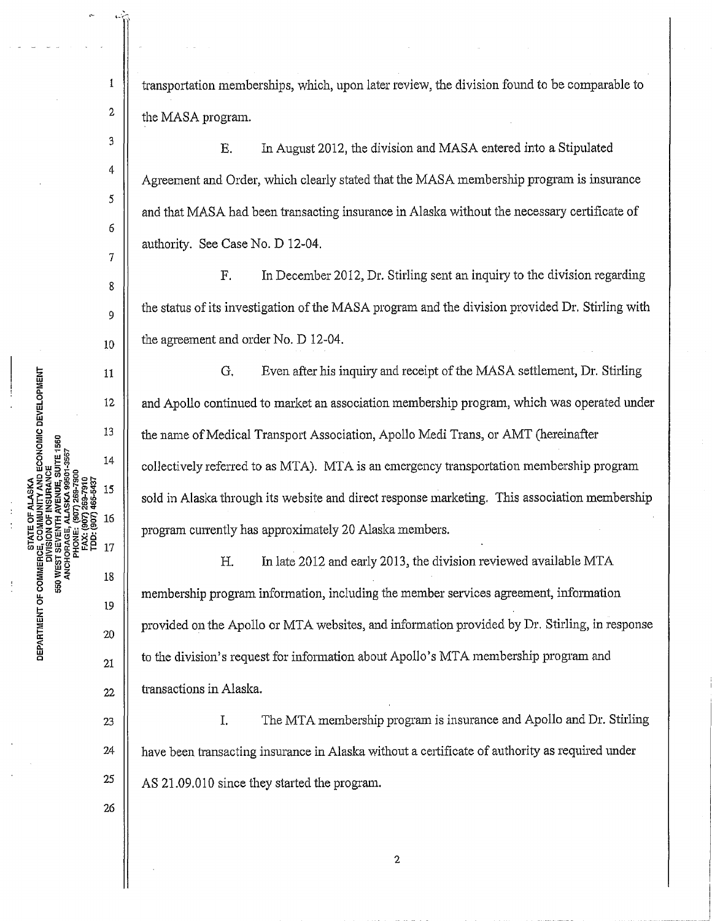transportation memberships, which, upon later review, the division found to be comparable to <sup>2</sup>  $\parallel$  the MASA program.

 $\begin{array}{c|c|c|c|c|c} \n3 & \n\end{array}$  E. In August 2012, the division and MASA entered into a Stipulated Agreement and Order, which clearly stated that the MASA membership program is insurance and that MASA had been transacting insurance in Alaska without the necessary certificate of authority. See Case No. D 12-04.

F. In December 2012, Dr. Stirling sent an inquiry to the division regarding the status of its investigation of the MASA program and the division provided Dr. Stirling with  $_{10}$  | the agreement and order No. D 12-04.

G. Even after his inquiry and receipt of the MASA settlement, Dr. Stirling and Apollo continued to market an association membership program, which was operated under the name of Medical Transport Association, Apollo Medi Trans, or AMT (hereinafter collectively referred to as MTA). MTA is an emergency transportation membership program sold in Alaska through its website and direct response marketing. This association membership program currently has approximately 20 Alaska members.

H. In late 2012 and early 2013, the division reviewed available MTA membership program information, including the member services agreement, information 20 provided on the Apollo or MTA websites, and information provided by Dr. Stirling, in response  $\begin{array}{c|c|c|c} 21 & \end{array}$  to the division's request for information about Apollo's MTA membership program and  $_{22}$  | transactions in Alaska.

23 || I. The MTA membership program is insurance and Apollo and Dr. Stirling  $24$  | have been transacting insurance in Alaska without a certificate of authority as required under  $\frac{25}{1}$  AS 21.09.010 since they started the program.

26

19

18

4

 $\mathbf 1$ 

5

6

7

8

 $11$ 

12

13

14

15

16

17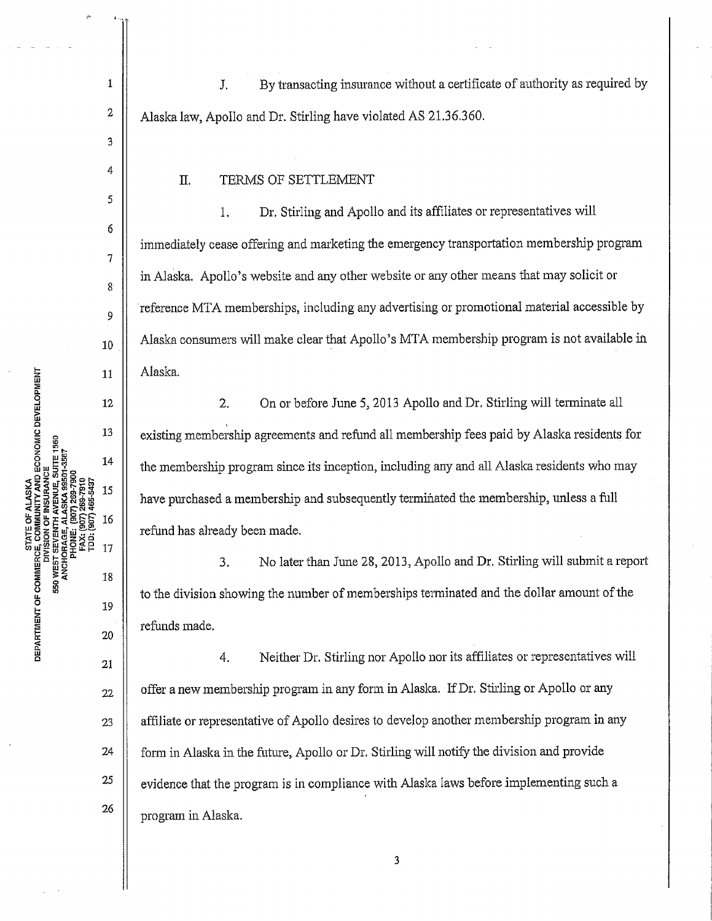1 | J. By transacting insurance without a certificate of authority as required by <sup>2</sup>  $\parallel$  Alaska law, Apollo and Dr. Stirling have violated AS 21.36.360.

## II. TERMS OF SETTLEMENT

1. Dr. Stirling and Apollo and its affiliates or representatives will immediately cease offering and marketing the emergency transportation membership program in Alaska. Apollo's website and any other website or any other means that may solicit or reference MTA memberships, including any advertising or promotional material accessible by  $_{10}$  | Alaska consumers will make clear that Apollo's MTA membership program is not available in Alaska.

2. On or before June 5, 2013 Apollo and Dr. Stirling will terminate all existing membership agreements and refund all membership fees paid by Alaska residents for the membership program since its inception, including any and all Alaska residents who may have purchased a membership and subsequently terminated the membership, unless a full refund has already been made.

3. No later than June 28, 2013, Apollo and Dr. Stirling will submit a report to the division showing the number of memberships terminated and the dollar amount of the refunds made.

4. Neither Dr. Stirling nor Apollo nor its affiliates or representatives will  $_{22}$  | offer a new membership program in any form in Alaska. If Dr. Stirling or Apollo or any 23 | affiliate or representative of Apollo desires to develop another membership program in any 24 | form in Alaska in the future, Apollo or Dr. Stirling will notify the division and provide  $25$   $\parallel$  evidence that the program is in compliance with Alaska laws before implementing such a program in Alaska.

3

4

5

6

7

8

9

 $11$ 

12

13

14

15

16

17

18

19

20

 $21$ 

26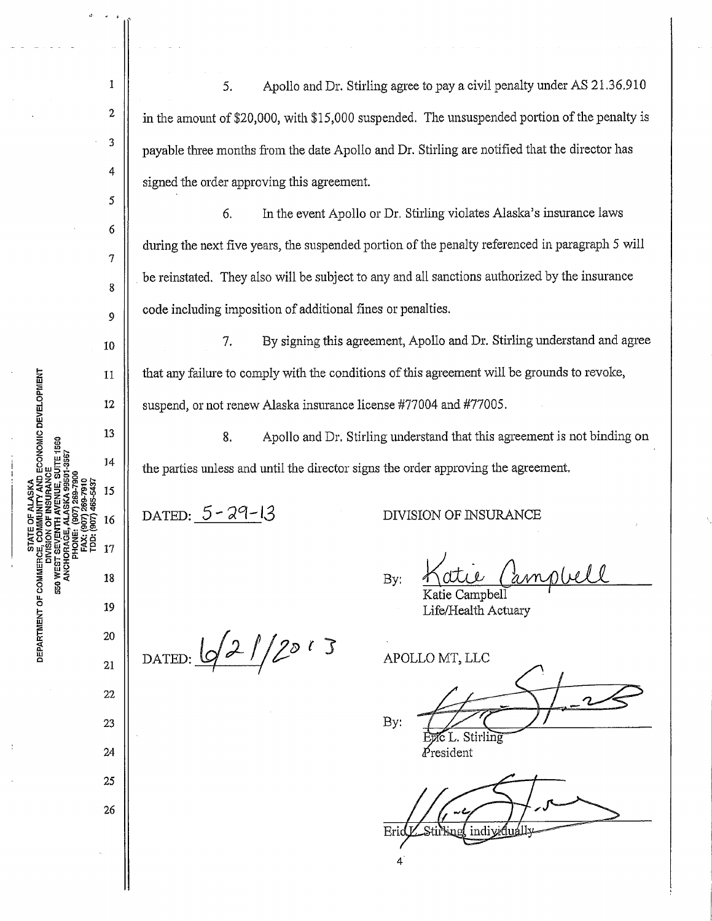5. Apollo and Dr. Stirling agree to pay a civil penalty under AS 21.36.910 in the amount of \$20,000, with \$15,000 suspended. The unsuspended portion of the penalty is payable three months from the date Apollo and Dr. Stirling are notified that the director has signed the order approving this agreement.

6. In the event Apollo or Dr. Stirling violates Alaska's insurance laws during the next five years, the suspended portion of the penalty referenced in paragraph 5 will be reinstated. They also will be subject to any and all sanctions authorized by the insurance code including imposition of additional fines or penalties.

7. By signing this agreement, Apollo and Dr. Stirling understand and agree that any failure to comply with the conditions of this agreement will be grounds to revoke, suspend, or not renew Alaska insurance license #77004 and #77005.

8. Apollo and Dr. Stirling understand that this agreement is not binding on the parties unless and until the director signs the order approving the agreement.

 $DATED: 5 - 29 - 13$ 

DIVISION OF INSURANCE

Life/Health Actuary

mplel By: ie Campbell

DATED:  $\frac{1}{2}$  /2 /2013

21 22 23 24

25

26

a: 20

19<br>External<br>External<br>External<br>20

550 WI

 $\frac{\mathbf{r}}{\mathbf{r}}$ 

ECONOMIC DEVELOPMENT

 $\blacksquare$  ii  $\blacksquare$ 

1

2

3

4

5

6

7

8

9

10

11

12

13

 $14$ 

15

16

 $17$ 

18

APOLLO MT, LLC By:

Stirling resident

 $Er$ agl indiv 4